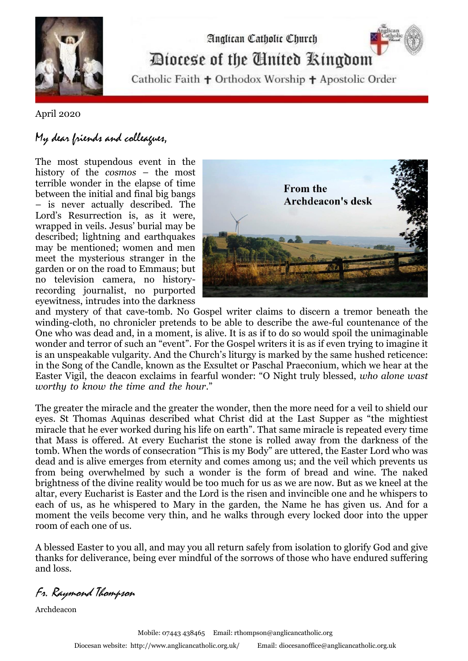

## Diocese of the Cinited Ringdom

Analican Catholic Church

Catholic Faith + Orthodox Worship + Apostolic Order

## April 2020

## My dear friends and colleagues,

The most stupendous event in the history of the *cosmos* – the most terrible wonder in the elapse of time between the initial and final big bangs – is never actually described. The Lord's Resurrection is, as it were, wrapped in veils. Jesus' burial may be described; lightning and earthquakes may be mentioned; women and men meet the mysterious stranger in the garden or on the road to Emmaus; but no television camera, no historyrecording journalist, no purported eyewitness, intrudes into the darkness



and mystery of that cave-tomb. No Gospel writer claims to discern a tremor beneath the winding-cloth, no chronicler pretends to be able to describe the awe-ful countenance of the One who was dead and, in a moment, is alive. It is as if to do so would spoil the unimaginable wonder and terror of such an "event". For the Gospel writers it is as if even trying to imagine it is an unspeakable vulgarity. And the Church's liturgy is marked by the same hushed reticence: in the Song of the Candle, known as the Exsultet or Paschal Praeconium, which we hear at the Easter Vigil, the deacon exclaims in fearful wonder: "O Night truly blessed, *who alone wast worthy to know the time and the hour*." "

The greater the miracle and the greater the wonder, then the more need for a veil to shield our eyes. St Thomas Aquinas described what Christ did at the Last Supper as "the mightiest miracle that he ever worked during his life on earth". That same miracle is repeated every time that Mass is offered. At every Eucharist the stone is rolled away from the darkness of the tomb. When the words of consecration "This is my Body" are uttered, the Easter Lord who was dead and is alive emerges from eternity and comes among us; and the veil which prevents us from being overwhelmed by such a wonder is the form of bread and wine. The naked brightness of the divine reality would be too much for us as we are now. But as we kneel at the altar, every Eucharist is Easter and the Lord is the risen and invincible one and he whispers to each of us, as he whispered to Mary in the garden, the Name he has given us. And for a moment the veils become very thin, and he walks through every locked door into the upper room of each one of us.

A blessed Easter to you all, and may you all return safely from isolation to glorify God and give thanks for deliverance, being ever mindful of the sorrows of those who have endured suffering and loss.

Fr. Raymond Thompson

Archdeacon